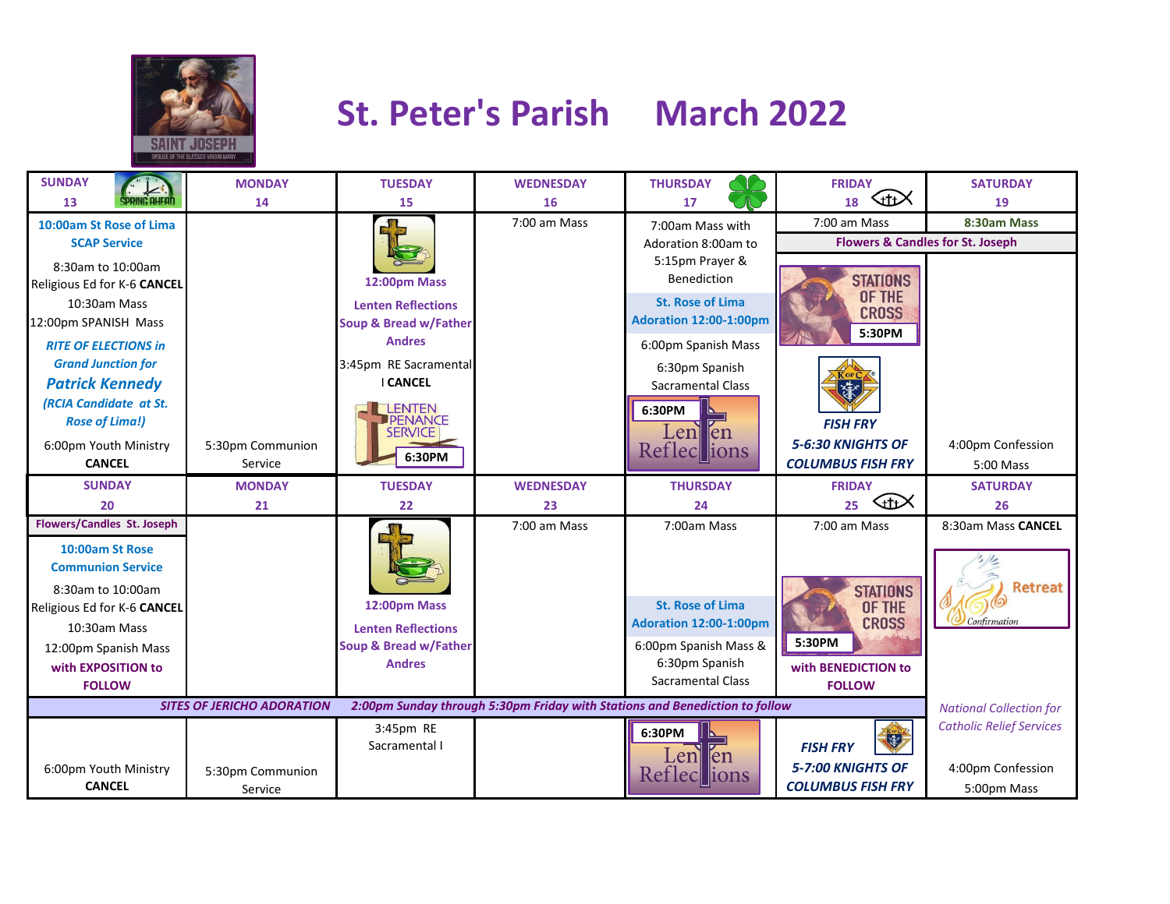

## **St. Peter's Parish March 2022**

| <b>SUNDAY</b>                                                                                                    | <b>MONDAY</b>    | <b>TUESDAY</b>                   | <b>WEDNESDAY</b> | <b>THURSDAY</b>                | <b>FRIDAY</b><br>℆                          | <b>SATURDAY</b>                 |  |
|------------------------------------------------------------------------------------------------------------------|------------------|----------------------------------|------------------|--------------------------------|---------------------------------------------|---------------------------------|--|
| 13                                                                                                               | 14               | 15                               | 16               | 17                             | 18                                          | 19                              |  |
| 10:00am St Rose of Lima                                                                                          |                  |                                  | 7:00 am Mass     | 7:00am Mass with               | 7:00 am Mass                                | 8:30am Mass                     |  |
| <b>SCAP Service</b>                                                                                              |                  |                                  |                  | Adoration 8:00am to            | <b>Flowers &amp; Candles for St. Joseph</b> |                                 |  |
| 8:30am to 10:00am                                                                                                |                  |                                  |                  | 5:15pm Prayer &<br>Benediction |                                             |                                 |  |
| Religious Ed for K-6 CANCEL                                                                                      |                  | 12:00pm Mass                     |                  |                                | <b>STATIONS</b><br>OF THE                   |                                 |  |
| 10:30am Mass                                                                                                     |                  | <b>Lenten Reflections</b>        |                  | <b>St. Rose of Lima</b>        | <b>CROSS</b>                                |                                 |  |
| 12:00pm SPANISH Mass                                                                                             |                  | Soup & Bread w/Father            |                  | <b>Adoration 12:00-1:00pm</b>  | 5:30PM                                      |                                 |  |
| <b>RITE OF ELECTIONS in</b>                                                                                      |                  | <b>Andres</b>                    |                  | 6:00pm Spanish Mass            |                                             |                                 |  |
| <b>Grand Junction for</b>                                                                                        |                  | 3:45pm RE Sacramental            |                  | 6:30pm Spanish                 |                                             |                                 |  |
| <b>Patrick Kennedy</b>                                                                                           |                  | <b>I CANCEL</b>                  |                  | <b>Sacramental Class</b>       | 家                                           |                                 |  |
| <b>(RCIA Candidate at St.</b>                                                                                    |                  | <b>LENTEN</b>                    |                  | 6:30PM                         |                                             |                                 |  |
| <b>Rose of Lima!)</b>                                                                                            |                  | <b>PENANCE</b><br><b>SERVICE</b> |                  | Lenllen                        | <b>FISH FRY</b>                             |                                 |  |
| 6:00pm Youth Ministry                                                                                            | 5:30pm Communion | 6:30PM                           |                  | Refleclions                    | 5-6:30 KNIGHTS OF                           | 4:00pm Confession               |  |
| <b>CANCEL</b>                                                                                                    | Service          |                                  |                  |                                | <b>COLUMBUS FISH FRY</b>                    | $5:00$ Mass                     |  |
| <b>SUNDAY</b>                                                                                                    | <b>MONDAY</b>    | <b>TUESDAY</b>                   | <b>WEDNESDAY</b> | <b>THURSDAY</b>                | <b>FRIDAY</b>                               | <b>SATURDAY</b>                 |  |
| 20                                                                                                               | 21               | 22                               | 23               | 24                             | KttX<br>25                                  | 26                              |  |
| <b>Flowers/Candles St. Joseph</b>                                                                                |                  |                                  | 7:00 am Mass     | 7:00am Mass                    | 7:00 am Mass                                | 8:30am Mass CANCEL              |  |
| 10:00am St Rose                                                                                                  |                  |                                  |                  |                                |                                             |                                 |  |
| <b>Communion Service</b>                                                                                         |                  |                                  |                  |                                |                                             |                                 |  |
| 8:30am to 10:00am                                                                                                |                  |                                  |                  |                                | <b>STATIONS</b>                             | <b>Retreat</b>                  |  |
| Religious Ed for K-6 CANCEL                                                                                      |                  | 12:00pm Mass                     |                  | <b>St. Rose of Lima</b>        | OF THE                                      |                                 |  |
| 10:30am Mass                                                                                                     |                  | <b>Lenten Reflections</b>        |                  | Adoration 12:00-1:00pm         | <b>CROSS</b>                                | Confirmation                    |  |
| 12:00pm Spanish Mass                                                                                             |                  | Soup & Bread w/Father            |                  | 6:00pm Spanish Mass &          | 5:30PM                                      |                                 |  |
| with EXPOSITION to                                                                                               |                  | <b>Andres</b>                    |                  | 6:30pm Spanish                 | with BENEDICTION to                         |                                 |  |
| <b>FOLLOW</b>                                                                                                    |                  |                                  |                  | <b>Sacramental Class</b>       | <b>FOLLOW</b>                               |                                 |  |
| 2:00pm Sunday through 5:30pm Friday with Stations and Benediction to follow<br><b>SITES OF JERICHO ADORATION</b> |                  |                                  |                  |                                |                                             |                                 |  |
|                                                                                                                  |                  | 3:45pm RE                        |                  | 6:30PM                         |                                             | <b>Catholic Relief Services</b> |  |
|                                                                                                                  |                  | Sacramental I                    |                  | len<br>Len                     | 家<br><b>FISH FRY</b>                        |                                 |  |
| 6:00pm Youth Ministry                                                                                            | 5:30pm Communion |                                  |                  | Reflections                    | 5-7:00 KNIGHTS OF                           | 4:00pm Confession               |  |
| <b>CANCEL</b>                                                                                                    | Service          |                                  |                  |                                | <b>COLUMBUS FISH FRY</b>                    | 5:00pm Mass                     |  |